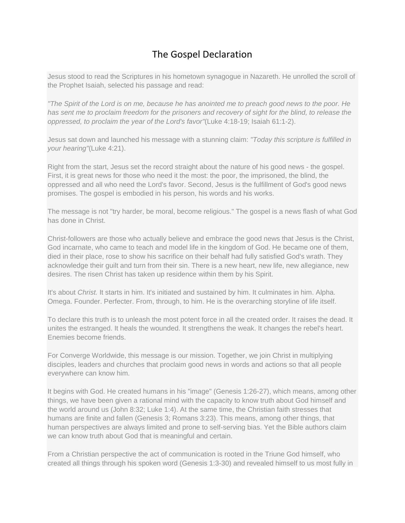# The Gospel Declaration

Jesus stood to read the Scriptures in his hometown synagogue in Nazareth. He unrolled the scroll of the Prophet Isaiah, selected his passage and read:

*"The Spirit of the Lord is on me, because he has anointed me to preach good news to the poor. He has sent me to proclaim freedom for the prisoners and recovery of sight for the blind, to release the oppressed, to proclaim the year of the Lord's favor"*(Luke 4:18-19; Isaiah 61:1-2).

Jesus sat down and launched his message with a stunning claim: *"Today this scripture is fulfilled in your hearing"*(Luke 4:21).

Right from the start, Jesus set the record straight about the nature of his good news - the gospel. First, it is great news for those who need it the most: the poor, the imprisoned, the blind, the oppressed and all who need the Lord's favor. Second, Jesus is the fulfillment of God's good news promises. The gospel is embodied in his person, his words and his works.

The message is not "try harder, be moral, become religious." The gospel is a news flash of what God has done in Christ.

Christ-followers are those who actually believe and embrace the good news that Jesus is the Christ, God incarnate, who came to teach and model life in the kingdom of God. He became one of them, died in their place, rose to show his sacrifice on their behalf had fully satisfied God's wrath. They acknowledge their guilt and turn from their sin. There is a new heart, new life, new allegiance, new desires. The risen Christ has taken up residence within them by his Spirit.

It's about *Christ.* It starts in him. It's initiated and sustained by him. It culminates in him. Alpha. Omega. Founder. Perfecter. From, through, to him. He is the overarching storyline of life itself.

To declare this truth is to unleash the most potent force in all the created order. It raises the dead. It unites the estranged. It heals the wounded. It strengthens the weak. It changes the rebel's heart. Enemies become friends.

For Converge Worldwide, this message is our mission. Together, we join Christ in multiplying disciples, leaders and churches that proclaim good news in words and actions so that all people everywhere can know him.

It begins with God. He created humans in his "image" (Genesis 1:26-27), which means, among other things, we have been given a rational mind with the capacity to know truth about God himself and the world around us (John 8:32; Luke 1:4). At the same time, the Christian faith stresses that humans are finite and fallen (Genesis 3; Romans 3:23). This means, among other things, that human perspectives are always limited and prone to self-serving bias. Yet the Bible authors claim we can know truth about God that is meaningful and certain.

From a Christian perspective the act of communication is rooted in the Triune God himself, who created all things through his spoken word (Genesis 1:3-30) and revealed himself to us most fully in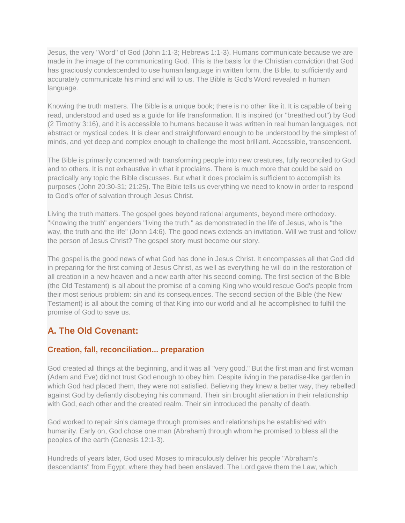Jesus, the very "Word" of God (John 1:1-3; Hebrews 1:1-3). Humans communicate because we are made in the image of the communicating God. This is the basis for the Christian conviction that God has graciously condescended to use human language in written form, the Bible, to sufficiently and accurately communicate his mind and will to us. The Bible is God's Word revealed in human language.

Knowing the truth matters. The Bible is a unique book; there is no other like it. It is capable of being read, understood and used as a guide for life transformation. It is inspired (or "breathed out") by God (2 Timothy 3:16), and it is accessible to humans because it was written in real human languages, not abstract or mystical codes. It is clear and straightforward enough to be understood by the simplest of minds, and yet deep and complex enough to challenge the most brilliant. Accessible, transcendent.

The Bible is primarily concerned with transforming people into new creatures, fully reconciled to God and to others. It is not exhaustive in what it proclaims. There is much more that could be said on practically any topic the Bible discusses. But what it does proclaim is sufficient to accomplish its purposes (John 20:30-31; 21:25). The Bible tells us everything we need to know in order to respond to God's offer of salvation through Jesus Christ.

Living the truth matters. The gospel goes beyond rational arguments, beyond mere orthodoxy. "Knowing the truth" engenders "living the truth," as demonstrated in the life of Jesus, who is "the way, the truth and the life" (John 14:6). The good news extends an invitation. Will we trust and follow the person of Jesus Christ? The gospel story must become our story.

The gospel is the good news of what God has done in Jesus Christ. It encompasses all that God did in preparing for the first coming of Jesus Christ, as well as everything he will do in the restoration of all creation in a new heaven and a new earth after his second coming. The first section of the Bible (the Old Testament) is all about the promise of a coming King who would rescue God's people from their most serious problem: sin and its consequences. The second section of the Bible (the New Testament) is all about the coming of that King into our world and all he accomplished to fulfill the promise of God to save us.

# **A. The Old Covenant:**

#### **Creation, fall, reconciliation... preparation**

God created all things at the beginning, and it was all "very good." But the first man and first woman (Adam and Eve) did not trust God enough to obey him. Despite living in the paradise-like garden in which God had placed them, they were not satisfied. Believing they knew a better way, they rebelled against God by defiantly disobeying his command. Their sin brought alienation in their relationship with God, each other and the created realm. Their sin introduced the penalty of death.

God worked to repair sin's damage through promises and relationships he established with humanity. Early on, God chose one man (Abraham) through whom he promised to bless all the peoples of the earth (Genesis 12:1-3).

Hundreds of years later, God used Moses to miraculously deliver his people "Abraham's descendants" from Egypt, where they had been enslaved. The Lord gave them the Law, which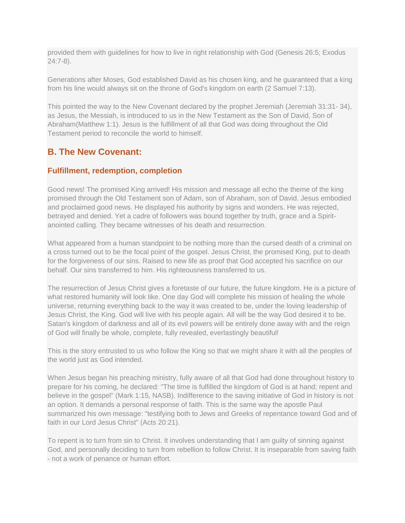provided them with guidelines for how to live in right relationship with God (Genesis 26:5; Exodus 24:7-8).

Generations after Moses, God established David as his chosen king, and he guaranteed that a king from his line would always sit on the throne of God's kingdom on earth (2 Samuel 7:13).

This pointed the way to the New Covenant declared by the prophet Jeremiah (Jeremiah 31:31- 34), as Jesus, the Messiah, is introduced to us in the New Testament as the Son of David, Son of Abraham(Matthew 1:1). Jesus is the fulfillment of all that God was doing throughout the Old Testament period to reconcile the world to himself.

# **B. The New Covenant:**

#### **Fulfillment, redemption, completion**

Good news! The promised King arrived! His mission and message all echo the theme of the king promised through the Old Testament son of Adam, son of Abraham, son of David. Jesus embodied and proclaimed good news. He displayed his authority by signs and wonders. He was rejected, betrayed and denied. Yet a cadre of followers was bound together by truth, grace and a Spiritanointed calling. They became witnesses of his death and resurrection.

What appeared from a human standpoint to be nothing more than the cursed death of a criminal on a cross turned out to be the focal point of the gospel. Jesus Christ, the promised King, put to death for the forgiveness of our sins. Raised to new life as proof that God accepted his sacrifice on our behalf. Our sins transferred to him. His righteousness transferred to us.

The resurrection of Jesus Christ gives a foretaste of our future, the future kingdom. He is a picture of what restored humanity will look like. One day God will complete his mission of healing the whole universe, returning everything back to the way it was created to be, under the loving leadership of Jesus Christ, the King. God will live with his people again. All will be the way God desired it to be. Satan's kingdom of darkness and all of its evil powers will be entirely done away with and the reign of God will finally be whole, complete, fully revealed, everlastingly beautiful!

This is the story entrusted to us who follow the King so that we might share it with all the peoples of the world just as God intended.

When Jesus began his preaching ministry, fully aware of all that God had done throughout history to prepare for his coming, he declared: "The time is fulfilled the kingdom of God is at hand; repent and believe in the gospel" (Mark 1:15, NASB). Indifference to the saving initiative of God in history is not an option. It demands a personal response of faith. This is the same way the apostle Paul summarized his own message: "testifying both to Jews and Greeks of repentance toward God and of faith in our Lord Jesus Christ" (Acts 20:21).

To repent is to turn from sin to Christ. It involves understanding that I am guilty of sinning against God, and personally deciding to turn from rebellion to follow Christ. It is inseparable from saving faith - not a work of penance or human effort.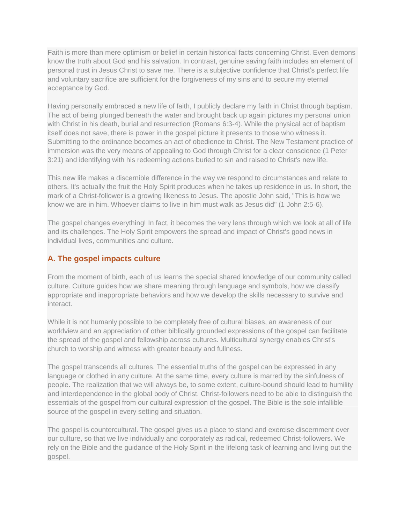Faith is more than mere optimism or belief in certain historical facts concerning Christ. Even demons know the truth about God and his salvation. In contrast, genuine saving faith includes an element of personal trust in Jesus Christ to save me. There is a subjective confidence that Christ's perfect life and voluntary sacrifice are sufficient for the forgiveness of my sins and to secure my eternal acceptance by God.

Having personally embraced a new life of faith, I publicly declare my faith in Christ through baptism. The act of being plunged beneath the water and brought back up again pictures my personal union with Christ in his death, burial and resurrection (Romans 6:3-4). While the physical act of baptism itself does not save, there is power in the gospel picture it presents to those who witness it. Submitting to the ordinance becomes an act of obedience to Christ. The New Testament practice of immersion was the very means of appealing to God through Christ for a clear conscience (1 Peter 3:21) and identifying with his redeeming actions buried to sin and raised to Christ's new life.

This new life makes a discernible difference in the way we respond to circumstances and relate to others. It's actually the fruit the Holy Spirit produces when he takes up residence in us. In short, the mark of a Christ-follower is a growing likeness to Jesus. The apostle John said, "This is how we know we are in him. Whoever claims to live in him must walk as Jesus did" (1 John 2:5-6).

The gospel changes everything! In fact, it becomes the very lens through which we look at all of life and its challenges. The Holy Spirit empowers the spread and impact of Christ's good news in individual lives, communities and culture.

## **A. The gospel impacts culture**

From the moment of birth, each of us learns the special shared knowledge of our community called culture. Culture guides how we share meaning through language and symbols, how we classify appropriate and inappropriate behaviors and how we develop the skills necessary to survive and interact.

While it is not humanly possible to be completely free of cultural biases, an awareness of our worldview and an appreciation of other biblically grounded expressions of the gospel can facilitate the spread of the gospel and fellowship across cultures. Multicultural synergy enables Christ's church to worship and witness with greater beauty and fullness.

The gospel transcends all cultures. The essential truths of the gospel can be expressed in any language or clothed in any culture. At the same time, every culture is marred by the sinfulness of people. The realization that we will always be, to some extent, culture-bound should lead to humility and interdependence in the global body of Christ. Christ-followers need to be able to distinguish the essentials of the gospel from our cultural expression of the gospel. The Bible is the sole infallible source of the gospel in every setting and situation.

The gospel is countercultural. The gospel gives us a place to stand and exercise discernment over our culture, so that we live individually and corporately as radical, redeemed Christ-followers. We rely on the Bible and the guidance of the Holy Spirit in the lifelong task of learning and living out the gospel.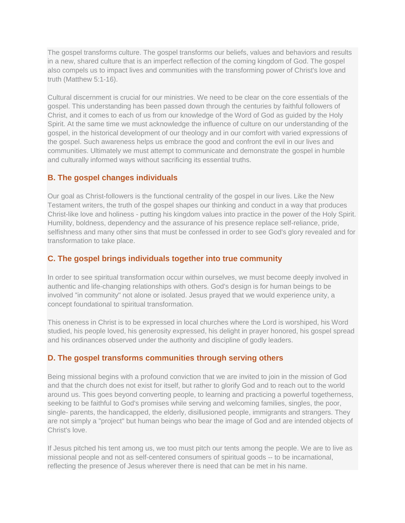The gospel transforms culture. The gospel transforms our beliefs, values and behaviors and results in a new, shared culture that is an imperfect reflection of the coming kingdom of God. The gospel also compels us to impact lives and communities with the transforming power of Christ's love and truth (Matthew 5:1-16).

Cultural discernment is crucial for our ministries. We need to be clear on the core essentials of the gospel. This understanding has been passed down through the centuries by faithful followers of Christ, and it comes to each of us from our knowledge of the Word of God as guided by the Holy Spirit. At the same time we must acknowledge the influence of culture on our understanding of the gospel, in the historical development of our theology and in our comfort with varied expressions of the gospel. Such awareness helps us embrace the good and confront the evil in our lives and communities. Ultimately we must attempt to communicate and demonstrate the gospel in humble and culturally informed ways without sacrificing its essential truths.

## **B. The gospel changes individuals**

Our goal as Christ-followers is the functional centrality of the gospel in our lives. Like the New Testament writers, the truth of the gospel shapes our thinking and conduct in a way that produces Christ-like love and holiness - putting his kingdom values into practice in the power of the Holy Spirit. Humility, boldness, dependency and the assurance of his presence replace self-reliance, pride, selfishness and many other sins that must be confessed in order to see God's glory revealed and for transformation to take place.

## **C. The gospel brings individuals together into true community**

In order to see spiritual transformation occur within ourselves, we must become deeply involved in authentic and life-changing relationships with others. God's design is for human beings to be involved "in community" not alone or isolated. Jesus prayed that we would experience unity, a concept foundational to spiritual transformation.

This oneness in Christ is to be expressed in local churches where the Lord is worshiped, his Word studied, his people loved, his generosity expressed, his delight in prayer honored, his gospel spread and his ordinances observed under the authority and discipline of godly leaders.

#### **D. The gospel transforms communities through serving others**

Being missional begins with a profound conviction that we are invited to join in the mission of God and that the church does not exist for itself, but rather to glorify God and to reach out to the world around us. This goes beyond converting people, to learning and practicing a powerful togetherness, seeking to be faithful to God's promises while serving and welcoming families, singles, the poor, single- parents, the handicapped, the elderly, disillusioned people, immigrants and strangers. They are not simply a "project" but human beings who bear the image of God and are intended objects of Christ's love.

If Jesus pitched his tent among us, we too must pitch our tents among the people. We are to live as missional people and not as self-centered consumers of spiritual goods -- to be incarnational, reflecting the presence of Jesus wherever there is need that can be met in his name.